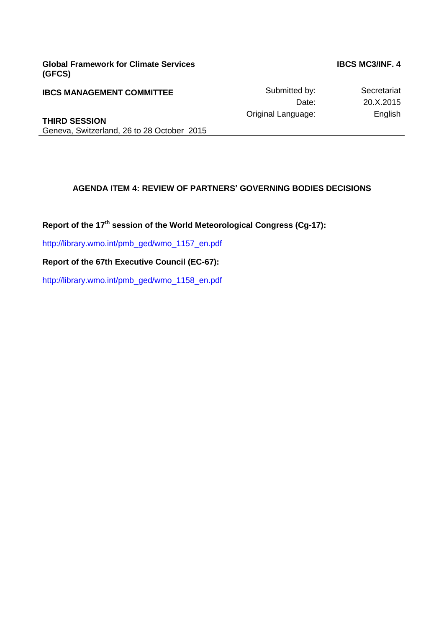**Global Framework for Climate Services (GFCS)**

**IBCS MC3/INF. 4**

**IBCS MANAGEMENT COMMITTEE** Submitted by: Secretariat Submitted by: Secretariat Submitted by: Secretariat Submitted by: Secretariat Submitted by: Secretariat Submitted by: Secretariat Submitted by: Secretariat Submitted by 20.X.2015 Original Language: English

**THIRD SESSION** Geneva, Switzerland, 26 to 28 October 2015

# **AGENDA ITEM 4: REVIEW OF PARTNERS' GOVERNING BODIES DECISIONS**

**Report of the 17th session of the World Meteorological Congress (Cg-17):**

[http://library.wmo.int/pmb\\_ged/wmo\\_1157\\_en.pdf](http://library.wmo.int/pmb_ged/wmo_1157_en.pdf)

**Report of the 67th Executive Council (EC-67):**

[http://library.wmo.int/pmb\\_ged/wmo\\_1158\\_en.pdf](http://library.wmo.int/pmb_ged/wmo_1158_en.pdf)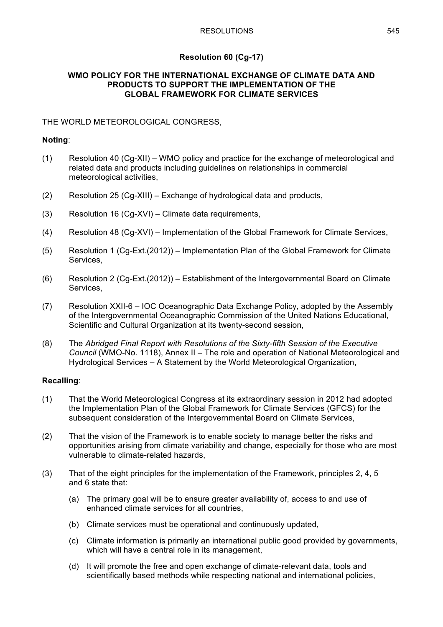# **Resolution 60 (Cg-17)**

## **WMO POLICY FOR THE INTERNATIONAL EXCHANGE OF CLIMATE DATA AND PRODUCTS TO SUPPORT THE IMPLEMENTATION OF THE GLOBAL FRAMEWORK FOR CLIMATE SERVICES**

# THE WORLD METEOROLOGICAL CONGRESS,

# **Noting**:

- (1) Resolution 40 (Cg-XII) WMO policy and practice for the exchange of meteorological and related data and products including guidelines on relationships in commercial meteorological activities,
- (2) Resolution 25 (Cg-XIII) Exchange of hydrological data and products,
- (3) Resolution 16 (Cg-XVI) Climate data requirements,
- (4) Resolution 48 (Cg-XVI) Implementation of the Global Framework for Climate Services,
- (5) Resolution 1 (Cg-Ext.(2012)) Implementation Plan of the Global Framework for Climate Services,
- (6) Resolution 2 (Cg-Ext.(2012)) Establishment of the Intergovernmental Board on Climate Services,
- (7) Resolution XXII-6 IOC Oceanographic Data Exchange Policy, adopted by the Assembly of the Intergovernmental Oceanographic Commission of the United Nations Educational, Scientific and Cultural Organization at its twenty-second session,
- (8) The *Abridged Final Report with Resolutions of the Sixty-fifth Session of the Executive Council* (WMO-No. 1118), Annex II – The role and operation of National Meteorological and Hydrological Services – A Statement by the World Meteorological Organization,

# **Recalling**:

- (1) That the World Meteorological Congress at its extraordinary session in 2012 had adopted the Implementation Plan of the Global Framework for Climate Services (GFCS) for the subsequent consideration of the Intergovernmental Board on Climate Services,
- (2) That the vision of the Framework is to enable society to manage better the risks and opportunities arising from climate variability and change, especially for those who are most vulnerable to climate-related hazards,
- (3) That of the eight principles for the implementation of the Framework, principles 2, 4, 5 and 6 state that:
	- (a) The primary goal will be to ensure greater availability of, access to and use of enhanced climate services for all countries,
	- (b) Climate services must be operational and continuously updated,
	- (c) Climate information is primarily an international public good provided by governments, which will have a central role in its management,
	- (d) It will promote the free and open exchange of climate-relevant data, tools and scientifically based methods while respecting national and international policies,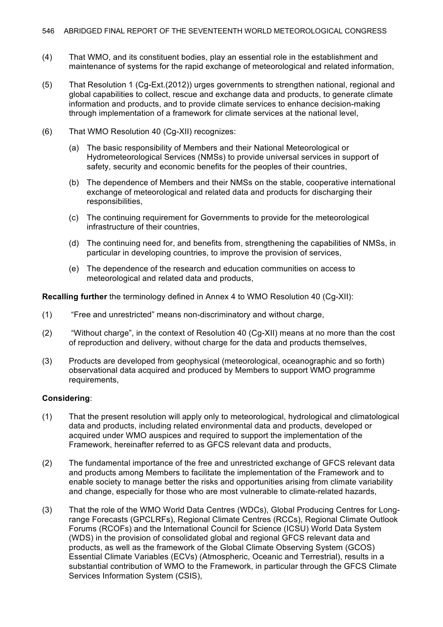- (4) That WMO, and its constituent bodies, play an essential role in the establishment and maintenance of systems for the rapid exchange of meteorological and related information,
- (5) That Resolution 1 (Cg-Ext.(2012)) urges governments to strengthen national, regional and global capabilities to collect, rescue and exchange data and products, to generate climate information and products, and to provide climate services to enhance decision-making through implementation of a framework for climate services at the national level,
- (6) That WMO Resolution 40 (Cg-XII) recognizes:
	- (a) The basic responsibility of Members and their National Meteorological or Hydrometeorological Services (NMSs) to provide universal services in support of safety, security and economic benefits for the peoples of their countries,
	- (b) The dependence of Members and their NMSs on the stable, cooperative international exchange of meteorological and related data and products for discharging their responsibilities,
	- (c) The continuing requirement for Governments to provide for the meteorological infrastructure of their countries,
	- (d) The continuing need for, and benefits from, strengthening the capabilities of NMSs, in particular in developing countries, to improve the provision of services,
	- (e) The dependence of the research and education communities on access to meteorological and related data and products,

**Recalling further** the terminology defined in Annex 4 to WMO Resolution 40 (Cg-XII):

- (1) "Free and unrestricted" means non-discriminatory and without charge,
- (2) "Without charge", in the context of Resolution 40 (Cg-XII) means at no more than the cost of reproduction and delivery, without charge for the data and products themselves,
- (3) Products are developed from geophysical (meteorological, oceanographic and so forth) observational data acquired and produced by Members to support WMO programme requirements,

# **Considering**:

- (1) That the present resolution will apply only to meteorological, hydrological and climatological data and products, including related environmental data and products, developed or acquired under WMO auspices and required to support the implementation of the Framework, hereinafter referred to as GFCS relevant data and products,
- (2) The fundamental importance of the free and unrestricted exchange of GFCS relevant data and products among Members to facilitate the implementation of the Framework and to enable society to manage better the risks and opportunities arising from climate variability and change, especially for those who are most vulnerable to climate-related hazards,
- (3) That the role of the WMO World Data Centres (WDCs), Global Producing Centres for Longrange Forecasts (GPCLRFs), Regional Climate Centres (RCCs), Regional Climate Outlook Forums (RCOFs) and the International Council for Science (ICSU) World Data System (WDS) in the provision of consolidated global and regional GFCS relevant data and products, as well as the framework of the Global Climate Observing System (GCOS) Essential Climate Variables (ECVs) (Atmospheric, Oceanic and Terrestrial), results in a substantial contribution of WMO to the Framework, in particular through the GFCS Climate Services Information System (CSIS),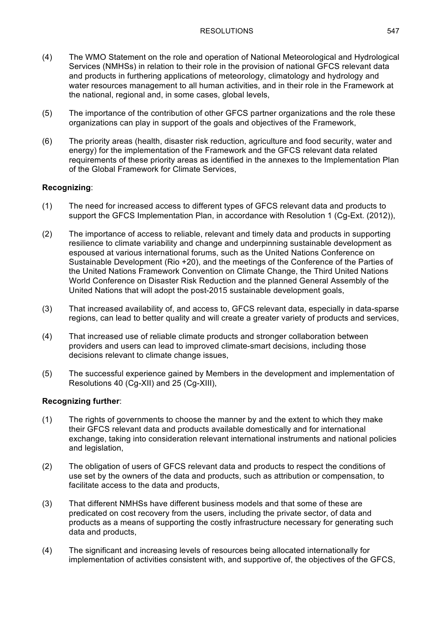- (4) The WMO Statement on the role and operation of National Meteorological and Hydrological Services (NMHSs) in relation to their role in the provision of national GFCS relevant data and products in furthering applications of meteorology, climatology and hydrology and water resources management to all human activities, and in their role in the Framework at the national, regional and, in some cases, global levels,
- (5) The importance of the contribution of other GFCS partner organizations and the role these organizations can play in support of the goals and objectives of the Framework,
- (6) The priority areas (health, disaster risk reduction, agriculture and food security, water and energy) for the implementation of the Framework and the GFCS relevant data related requirements of these priority areas as identified in the annexes to the Implementation Plan of the Global Framework for Climate Services,

# **Recognizing**:

- (1) The need for increased access to different types of GFCS relevant data and products to support the GFCS Implementation Plan, in accordance with Resolution 1 (Cg-Ext. (2012)),
- (2) The importance of access to reliable, relevant and timely data and products in supporting resilience to climate variability and change and underpinning sustainable development as espoused at various international forums, such as the United Nations Conference on Sustainable Development (Rio +20), and the meetings of the Conference of the Parties of the United Nations Framework Convention on Climate Change, the Third United Nations World Conference on Disaster Risk Reduction and the planned General Assembly of the United Nations that will adopt the post-2015 sustainable development goals,
- (3) That increased availability of, and access to, GFCS relevant data, especially in data-sparse regions, can lead to better quality and will create a greater variety of products and services,
- (4) That increased use of reliable climate products and stronger collaboration between providers and users can lead to improved climate-smart decisions, including those decisions relevant to climate change issues,
- (5) The successful experience gained by Members in the development and implementation of Resolutions 40 (Cg-XII) and 25 (Cg-XIII),

# **Recognizing further**:

- (1) The rights of governments to choose the manner by and the extent to which they make their GFCS relevant data and products available domestically and for international exchange, taking into consideration relevant international instruments and national policies and legislation,
- (2) The obligation of users of GFCS relevant data and products to respect the conditions of use set by the owners of the data and products, such as attribution or compensation, to facilitate access to the data and products,
- (3) That different NMHSs have different business models and that some of these are predicated on cost recovery from the users, including the private sector, of data and products as a means of supporting the costly infrastructure necessary for generating such data and products,
- (4) The significant and increasing levels of resources being allocated internationally for implementation of activities consistent with, and supportive of, the objectives of the GFCS,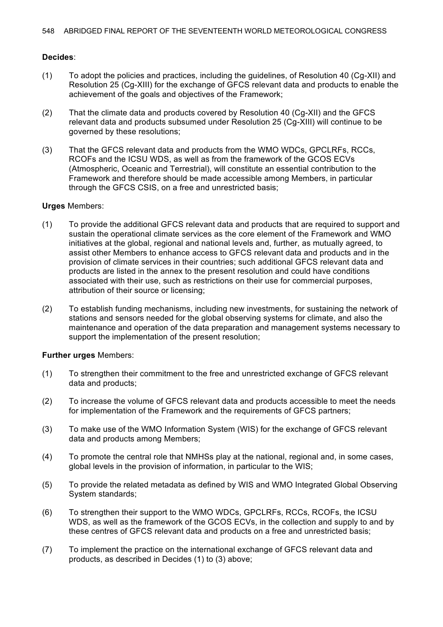# **Decides**:

- (1) To adopt the policies and practices, including the guidelines, of Resolution 40 (Cg-XII) and Resolution 25 (Cg-XIII) for the exchange of GFCS relevant data and products to enable the achievement of the goals and objectives of the Framework;
- (2) That the climate data and products covered by Resolution 40 (Cg-XII) and the GFCS relevant data and products subsumed under Resolution 25 (Cg-XIII) will continue to be governed by these resolutions;
- (3) That the GFCS relevant data and products from the WMO WDCs, GPCLRFs, RCCs, RCOFs and the ICSU WDS, as well as from the framework of the GCOS ECVs (Atmospheric, Oceanic and Terrestrial), will constitute an essential contribution to the Framework and therefore should be made accessible among Members, in particular through the GFCS CSIS, on a free and unrestricted basis;

### **Urges** Members:

- (1) To provide the additional GFCS relevant data and products that are required to support and sustain the operational climate services as the core element of the Framework and WMO initiatives at the global, regional and national levels and, further, as mutually agreed, to assist other Members to enhance access to GFCS relevant data and products and in the provision of climate services in their countries; such additional GFCS relevant data and products are listed in the annex to the present resolution and could have conditions associated with their use, such as restrictions on their use for commercial purposes, attribution of their source or licensing;
- (2) To establish funding mechanisms, including new investments, for sustaining the network of stations and sensors needed for the global observing systems for climate, and also the maintenance and operation of the data preparation and management systems necessary to support the implementation of the present resolution;

### **Further urges** Members:

- (1) To strengthen their commitment to the free and unrestricted exchange of GFCS relevant data and products;
- (2) To increase the volume of GFCS relevant data and products accessible to meet the needs for implementation of the Framework and the requirements of GFCS partners;
- (3) To make use of the WMO Information System (WIS) for the exchange of GFCS relevant data and products among Members;
- (4) To promote the central role that NMHSs play at the national, regional and, in some cases, global levels in the provision of information, in particular to the WIS;
- (5) To provide the related metadata as defined by WIS and WMO Integrated Global Observing System standards;
- (6) To strengthen their support to the WMO WDCs, GPCLRFs, RCCs, RCOFs, the ICSU WDS, as well as the framework of the GCOS ECVs, in the collection and supply to and by these centres of GFCS relevant data and products on a free and unrestricted basis;
- (7) To implement the practice on the international exchange of GFCS relevant data and products, as described in Decides (1) to (3) above;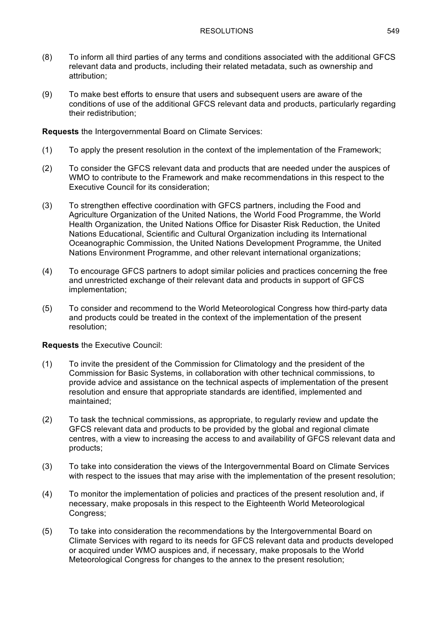- (8) To inform all third parties of any terms and conditions associated with the additional GFCS relevant data and products, including their related metadata, such as ownership and attribution;
- (9) To make best efforts to ensure that users and subsequent users are aware of the conditions of use of the additional GFCS relevant data and products, particularly regarding their redistribution;

**Requests** the Intergovernmental Board on Climate Services:

- (1) To apply the present resolution in the context of the implementation of the Framework;
- (2) To consider the GFCS relevant data and products that are needed under the auspices of WMO to contribute to the Framework and make recommendations in this respect to the Executive Council for its consideration;
- (3) To strengthen effective coordination with GFCS partners, including the Food and Agriculture Organization of the United Nations, the World Food Programme, the World Health Organization, the United Nations Office for Disaster Risk Reduction, the United Nations Educational, Scientific and Cultural Organization including its International Oceanographic Commission, the United Nations Development Programme, the United Nations Environment Programme, and other relevant international organizations;
- (4) To encourage GFCS partners to adopt similar policies and practices concerning the free and unrestricted exchange of their relevant data and products in support of GFCS implementation;
- (5) To consider and recommend to the World Meteorological Congress how third-party data and products could be treated in the context of the implementation of the present resolution;

# **Requests** the Executive Council:

- (1) To invite the president of the Commission for Climatology and the president of the Commission for Basic Systems, in collaboration with other technical commissions, to provide advice and assistance on the technical aspects of implementation of the present resolution and ensure that appropriate standards are identified, implemented and maintained;
- (2) To task the technical commissions, as appropriate, to regularly review and update the GFCS relevant data and products to be provided by the global and regional climate centres, with a view to increasing the access to and availability of GFCS relevant data and products;
- (3) To take into consideration the views of the Intergovernmental Board on Climate Services with respect to the issues that may arise with the implementation of the present resolution;
- (4) To monitor the implementation of policies and practices of the present resolution and, if necessary, make proposals in this respect to the Eighteenth World Meteorological Congress;
- (5) To take into consideration the recommendations by the Intergovernmental Board on Climate Services with regard to its needs for GFCS relevant data and products developed or acquired under WMO auspices and, if necessary, make proposals to the World Meteorological Congress for changes to the annex to the present resolution;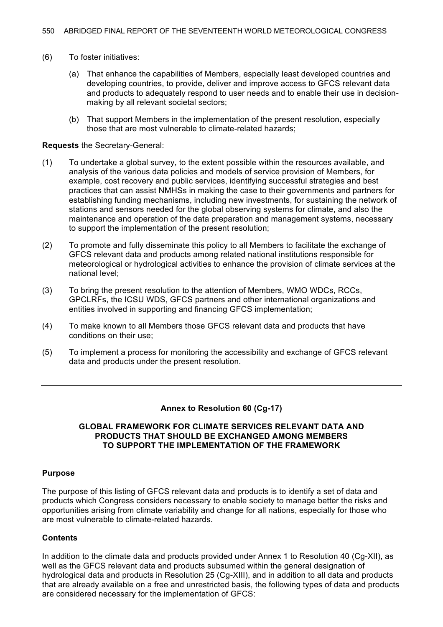- (6) To foster initiatives:
	- (a) That enhance the capabilities of Members, especially least developed countries and developing countries, to provide, deliver and improve access to GFCS relevant data and products to adequately respond to user needs and to enable their use in decisionmaking by all relevant societal sectors;
	- (b) That support Members in the implementation of the present resolution, especially those that are most vulnerable to climate-related hazards;

#### **Requests** the Secretary-General:

- (1) To undertake a global survey, to the extent possible within the resources available, and analysis of the various data policies and models of service provision of Members, for example, cost recovery and public services, identifying successful strategies and best practices that can assist NMHSs in making the case to their governments and partners for establishing funding mechanisms, including new investments, for sustaining the network of stations and sensors needed for the global observing systems for climate, and also the maintenance and operation of the data preparation and management systems, necessary to support the implementation of the present resolution;
- (2) To promote and fully disseminate this policy to all Members to facilitate the exchange of GFCS relevant data and products among related national institutions responsible for meteorological or hydrological activities to enhance the provision of climate services at the national level;
- (3) To bring the present resolution to the attention of Members, WMO WDCs, RCCs, GPCLRFs, the ICSU WDS, GFCS partners and other international organizations and entities involved in supporting and financing GFCS implementation;
- (4) To make known to all Members those GFCS relevant data and products that have conditions on their use;
- (5) To implement a process for monitoring the accessibility and exchange of GFCS relevant data and products under the present resolution.

### **Annex to Resolution 60 (Cg-17)**

#### **GLOBAL FRAMEWORK FOR CLIMATE SERVICES RELEVANT DATA AND PRODUCTS THAT SHOULD BE EXCHANGED AMONG MEMBERS TO SUPPORT THE IMPLEMENTATION OF THE FRAMEWORK**

### **Purpose**

The purpose of this listing of GFCS relevant data and products is to identify a set of data and products which Congress considers necessary to enable society to manage better the risks and opportunities arising from climate variability and change for all nations, especially for those who are most vulnerable to climate-related hazards.

### **Contents**

In addition to the climate data and products provided under Annex 1 to Resolution 40 (Cg-XII), as well as the GFCS relevant data and products subsumed within the general designation of hydrological data and products in Resolution 25 (Cg-XIII), and in addition to all data and products that are already available on a free and unrestricted basis, the following types of data and products are considered necessary for the implementation of GFCS: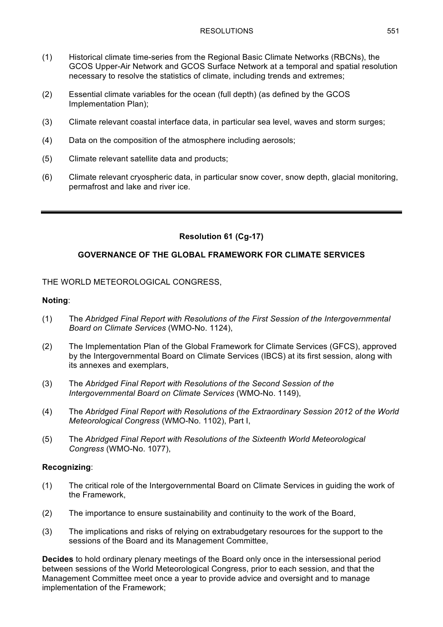- (1) Historical climate time-series from the Regional Basic Climate Networks (RBCNs), the GCOS Upper-Air Network and GCOS Surface Network at a temporal and spatial resolution necessary to resolve the statistics of climate, including trends and extremes;
- (2) Essential climate variables for the ocean (full depth) (as defined by the GCOS Implementation Plan);
- (3) Climate relevant coastal interface data, in particular sea level, waves and storm surges;
- (4) Data on the composition of the atmosphere including aerosols;
- (5) Climate relevant satellite data and products;
- (6) Climate relevant cryospheric data, in particular snow cover, snow depth, glacial monitoring, permafrost and lake and river ice.

# **Resolution 61 (Cg-17)**

## **GOVERNANCE OF THE GLOBAL FRAMEWORK FOR CLIMATE SERVICES**

## THE WORLD METEOROLOGICAL CONGRESS,

### **Noting**:

- (1) The *Abridged Final Report with Resolutions of the First Session of the Intergovernmental Board on Climate Services* (WMO-No. 1124),
- (2) The Implementation Plan of the Global Framework for Climate Services (GFCS), approved by the Intergovernmental Board on Climate Services (IBCS) at its first session, along with its annexes and exemplars,
- (3) The *Abridged Final Report with Resolutions of the Second Session of the Intergovernmental Board on Climate Services* (WMO-No. 1149),
- (4) The *Abridged Final Report with Resolutions of the Extraordinary Session 2012 of the World Meteorological Congress* (WMO-No. 1102), Part I,
- (5) The *Abridged Final Report with Resolutions of the Sixteenth World Meteorological Congress* (WMO-No. 1077),

### **Recognizing**:

- (1) The critical role of the Intergovernmental Board on Climate Services in guiding the work of the Framework,
- (2) The importance to ensure sustainability and continuity to the work of the Board,
- (3) The implications and risks of relying on extrabudgetary resources for the support to the sessions of the Board and its Management Committee,

**Decides** to hold ordinary plenary meetings of the Board only once in the intersessional period between sessions of the World Meteorological Congress, prior to each session, and that the Management Committee meet once a year to provide advice and oversight and to manage implementation of the Framework;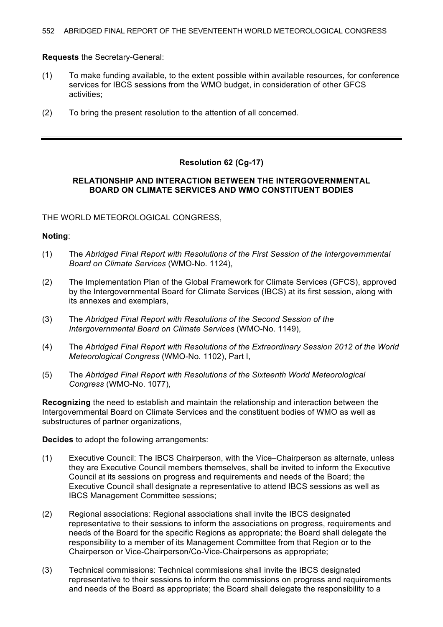**Requests** the Secretary-General:

- (1) To make funding available, to the extent possible within available resources, for conference services for IBCS sessions from the WMO budget, in consideration of other GFCS activities;
- (2) To bring the present resolution to the attention of all concerned.

# **Resolution 62 (Cg-17)**

## **RELATIONSHIP AND INTERACTION BETWEEN THE INTERGOVERNMENTAL BOARD ON CLIMATE SERVICES AND WMO CONSTITUENT BODIES**

THE WORLD METEOROLOGICAL CONGRESS,

## **Noting**:

- (1) The *Abridged Final Report with Resolutions of the First Session of the Intergovernmental Board on Climate Services* (WMO-No. 1124),
- (2) The Implementation Plan of the Global Framework for Climate Services (GFCS), approved by the Intergovernmental Board for Climate Services (IBCS) at its first session, along with its annexes and exemplars,
- (3) The *Abridged Final Report with Resolutions of the Second Session of the Intergovernmental Board on Climate Services* (WMO-No. 1149),
- (4) The *Abridged Final Report with Resolutions of the Extraordinary Session 2012 of the World Meteorological Congress* (WMO-No. 1102), Part I,
- (5) The *Abridged Final Report with Resolutions of the Sixteenth World Meteorological Congress* (WMO-No. 1077),

**Recognizing** the need to establish and maintain the relationship and interaction between the Intergovernmental Board on Climate Services and the constituent bodies of WMO as well as substructures of partner organizations,

**Decides** to adopt the following arrangements:

- (1) Executive Council: The IBCS Chairperson, with the Vice–Chairperson as alternate, unless they are Executive Council members themselves, shall be invited to inform the Executive Council at its sessions on progress and requirements and needs of the Board; the Executive Council shall designate a representative to attend IBCS sessions as well as IBCS Management Committee sessions;
- (2) Regional associations: Regional associations shall invite the IBCS designated representative to their sessions to inform the associations on progress, requirements and needs of the Board for the specific Regions as appropriate; the Board shall delegate the responsibility to a member of its Management Committee from that Region or to the Chairperson or Vice-Chairperson/Co-Vice-Chairpersons as appropriate;
- (3) Technical commissions: Technical commissions shall invite the IBCS designated representative to their sessions to inform the commissions on progress and requirements and needs of the Board as appropriate; the Board shall delegate the responsibility to a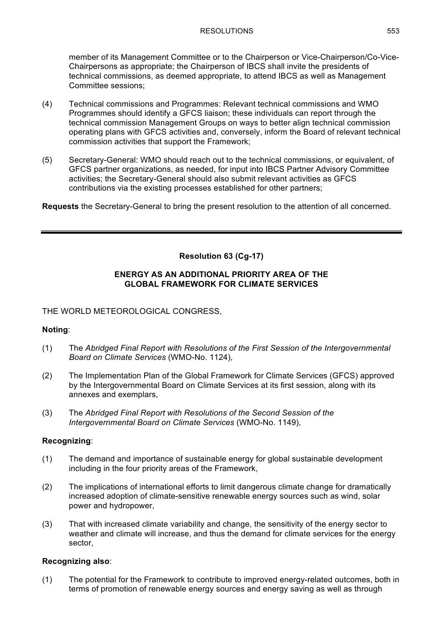member of its Management Committee or to the Chairperson or Vice-Chairperson/Co-Vice-Chairpersons as appropriate; the Chairperson of IBCS shall invite the presidents of technical commissions, as deemed appropriate, to attend IBCS as well as Management Committee sessions;

- (4) Technical commissions and Programmes: Relevant technical commissions and WMO Programmes should identify a GFCS liaison; these individuals can report through the technical commission Management Groups on ways to better align technical commission operating plans with GFCS activities and, conversely, inform the Board of relevant technical commission activities that support the Framework;
- (5) Secretary-General: WMO should reach out to the technical commissions, or equivalent, of GFCS partner organizations, as needed, for input into IBCS Partner Advisory Committee activities; the Secretary-General should also submit relevant activities as GFCS contributions via the existing processes established for other partners;

**Requests** the Secretary-General to bring the present resolution to the attention of all concerned.

# **Resolution 63 (Cg-17)**

## **ENERGY AS AN ADDITIONAL PRIORITY AREA OF THE GLOBAL FRAMEWORK FOR CLIMATE SERVICES**

THE WORLD METEOROLOGICAL CONGRESS,

# **Noting**:

- (1) The *Abridged Final Report with Resolutions of the First Session of the Intergovernmental Board on Climate Services* (WMO-No. 1124),
- (2) The Implementation Plan of the Global Framework for Climate Services (GFCS) approved by the Intergovernmental Board on Climate Services at its first session, along with its annexes and exemplars,
- (3) The *Abridged Final Report with Resolutions of the Second Session of the Intergovernmental Board on Climate Services* (WMO-No. 1149),

### **Recognizing**:

- (1) The demand and importance of sustainable energy for global sustainable development including in the four priority areas of the Framework,
- (2) The implications of international efforts to limit dangerous climate change for dramatically increased adoption of climate-sensitive renewable energy sources such as wind, solar power and hydropower,
- (3) That with increased climate variability and change, the sensitivity of the energy sector to weather and climate will increase, and thus the demand for climate services for the energy sector,

# **Recognizing also**:

(1) The potential for the Framework to contribute to improved energy-related outcomes, both in terms of promotion of renewable energy sources and energy saving as well as through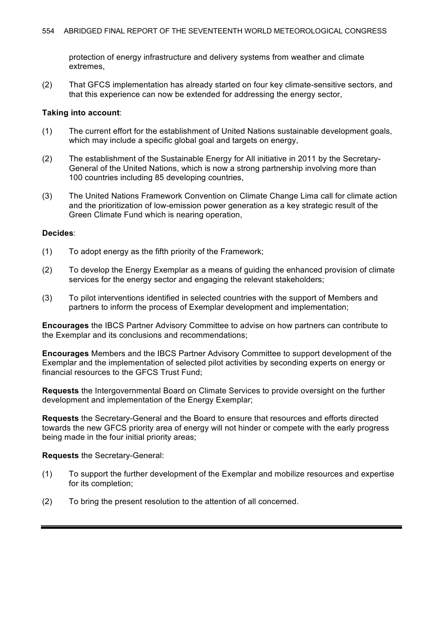protection of energy infrastructure and delivery systems from weather and climate extremes,

(2) That GFCS implementation has already started on four key climate-sensitive sectors, and that this experience can now be extended for addressing the energy sector,

### **Taking into account**:

- (1) The current effort for the establishment of United Nations sustainable development goals, which may include a specific global goal and targets on energy,
- (2) The establishment of the Sustainable Energy for All initiative in 2011 by the Secretary-General of the United Nations, which is now a strong partnership involving more than 100 countries including 85 developing countries,
- (3) The United Nations Framework Convention on Climate Change Lima call for climate action and the prioritization of low-emission power generation as a key strategic result of the Green Climate Fund which is nearing operation,

#### **Decides**:

- (1) To adopt energy as the fifth priority of the Framework;
- (2) To develop the Energy Exemplar as a means of guiding the enhanced provision of climate services for the energy sector and engaging the relevant stakeholders;
- (3) To pilot interventions identified in selected countries with the support of Members and partners to inform the process of Exemplar development and implementation;

**Encourages** the IBCS Partner Advisory Committee to advise on how partners can contribute to the Exemplar and its conclusions and recommendations;

**Encourages** Members and the IBCS Partner Advisory Committee to support development of the Exemplar and the implementation of selected pilot activities by seconding experts on energy or financial resources to the GFCS Trust Fund;

**Requests** the Intergovernmental Board on Climate Services to provide oversight on the further development and implementation of the Energy Exemplar;

**Requests** the Secretary-General and the Board to ensure that resources and efforts directed towards the new GFCS priority area of energy will not hinder or compete with the early progress being made in the four initial priority areas;

**Requests** the Secretary-General:

- (1) To support the further development of the Exemplar and mobilize resources and expertise for its completion;
- (2) To bring the present resolution to the attention of all concerned.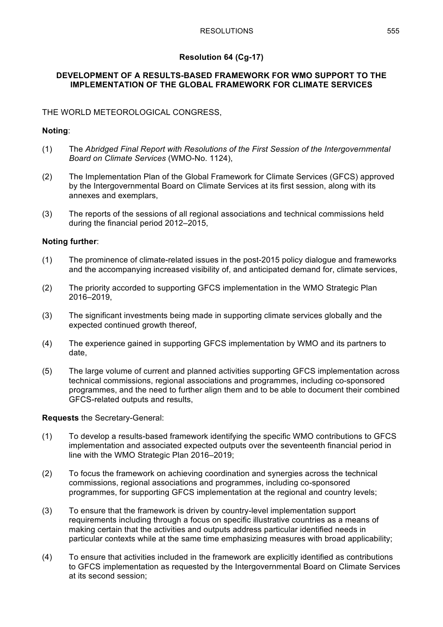# **Resolution 64 (Cg-17)**

## **DEVELOPMENT OF A RESULTS-BASED FRAMEWORK FOR WMO SUPPORT TO THE IMPLEMENTATION OF THE GLOBAL FRAMEWORK FOR CLIMATE SERVICES**

# THE WORLD METEOROLOGICAL CONGRESS,

## **Noting**:

- (1) The *Abridged Final Report with Resolutions of the First Session of the Intergovernmental Board on Climate Services* (WMO-No. 1124),
- (2) The Implementation Plan of the Global Framework for Climate Services (GFCS) approved by the Intergovernmental Board on Climate Services at its first session, along with its annexes and exemplars,
- (3) The reports of the sessions of all regional associations and technical commissions held during the financial period 2012–2015,

## **Noting further**:

- (1) The prominence of climate-related issues in the post-2015 policy dialogue and frameworks and the accompanying increased visibility of, and anticipated demand for, climate services,
- (2) The priority accorded to supporting GFCS implementation in the WMO Strategic Plan 2016–2019,
- (3) The significant investments being made in supporting climate services globally and the expected continued growth thereof,
- (4) The experience gained in supporting GFCS implementation by WMO and its partners to date,
- (5) The large volume of current and planned activities supporting GFCS implementation across technical commissions, regional associations and programmes, including co-sponsored programmes, and the need to further align them and to be able to document their combined GFCS-related outputs and results,

# **Requests** the Secretary-General:

- (1) To develop a results-based framework identifying the specific WMO contributions to GFCS implementation and associated expected outputs over the seventeenth financial period in line with the WMO Strategic Plan 2016–2019;
- (2) To focus the framework on achieving coordination and synergies across the technical commissions, regional associations and programmes, including co-sponsored programmes, for supporting GFCS implementation at the regional and country levels;
- (3) To ensure that the framework is driven by country-level implementation support requirements including through a focus on specific illustrative countries as a means of making certain that the activities and outputs address particular identified needs in particular contexts while at the same time emphasizing measures with broad applicability;
- (4) To ensure that activities included in the framework are explicitly identified as contributions to GFCS implementation as requested by the Intergovernmental Board on Climate Services at its second session;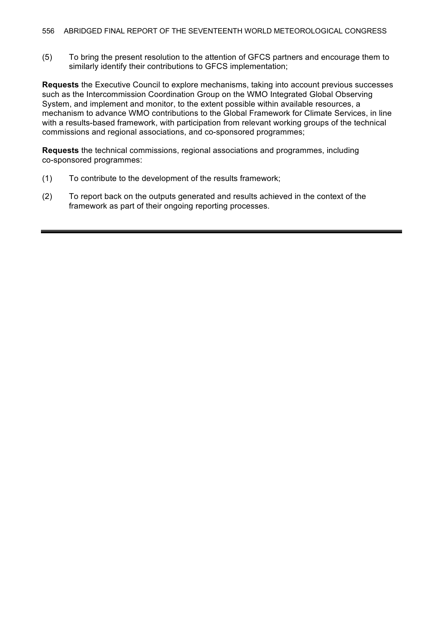(5) To bring the present resolution to the attention of GFCS partners and encourage them to similarly identify their contributions to GFCS implementation;

**Requests** the Executive Council to explore mechanisms, taking into account previous successes such as the Intercommission Coordination Group on the WMO Integrated Global Observing System, and implement and monitor, to the extent possible within available resources, a mechanism to advance WMO contributions to the Global Framework for Climate Services, in line with a results-based framework, with participation from relevant working groups of the technical commissions and regional associations, and co-sponsored programmes;

**Requests** the technical commissions, regional associations and programmes, including co-sponsored programmes:

- (1) To contribute to the development of the results framework;
- (2) To report back on the outputs generated and results achieved in the context of the framework as part of their ongoing reporting processes.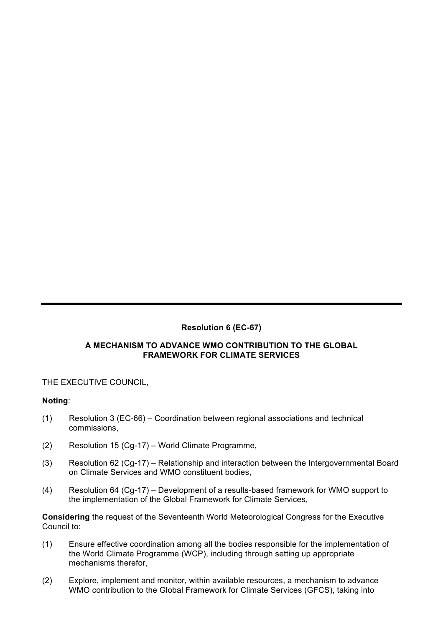# **Resolution 6 (EC-67)**

# **A MECHANISM TO ADVANCE WMO CONTRIBUTION TO THE GLOBAL FRAMEWORK FOR CLIMATE SERVICES**

# THE EXECUTIVE COUNCIL,

# **Noting**:

- (1) Resolution 3 (EC-66) Coordination between regional associations and technical commissions,
- (2) Resolution 15 (Cg-17) World Climate Programme,
- (3) Resolution 62 (Cg-17) Relationship and interaction between the Intergovernmental Board on Climate Services and WMO constituent bodies,
- (4) Resolution 64 (Cg-17) Development of a results-based framework for WMO support to the implementation of the Global Framework for Climate Services,

**Considering** the request of the Seventeenth World Meteorological Congress for the Executive Council to:

- (1) Ensure effective coordination among all the bodies responsible for the implementation of the World Climate Programme (WCP), including through setting up appropriate mechanisms therefor,
- (2) Explore, implement and monitor, within available resources, a mechanism to advance WMO contribution to the Global Framework for Climate Services (GFCS), taking into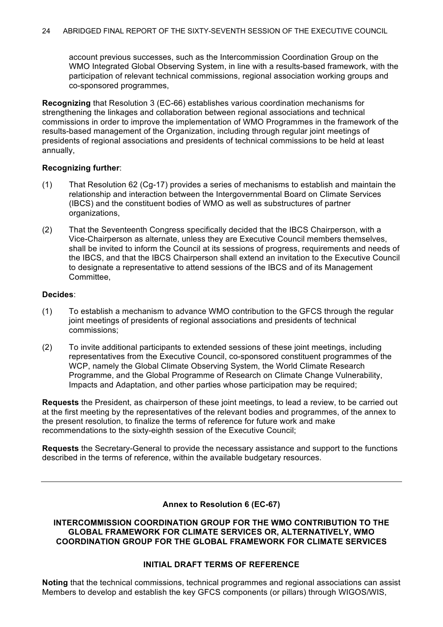account previous successes, such as the Intercommission Coordination Group on the WMO Integrated Global Observing System, in line with a results-based framework, with the participation of relevant technical commissions, regional association working groups and co-sponsored programmes,

**Recognizing** that Resolution 3 (EC-66) establishes various coordination mechanisms for strengthening the linkages and collaboration between regional associations and technical commissions in order to improve the implementation of WMO Programmes in the framework of the results-based management of the Organization, including through regular joint meetings of presidents of regional associations and presidents of technical commissions to be held at least annually,

### **Recognizing further**:

- (1) That Resolution 62 (Cg-17) provides a series of mechanisms to establish and maintain the relationship and interaction between the Intergovernmental Board on Climate Services (IBCS) and the constituent bodies of WMO as well as substructures of partner organizations,
- (2) That the Seventeenth Congress specifically decided that the IBCS Chairperson, with a Vice-Chairperson as alternate, unless they are Executive Council members themselves, shall be invited to inform the Council at its sessions of progress, requirements and needs of the IBCS, and that the IBCS Chairperson shall extend an invitation to the Executive Council to designate a representative to attend sessions of the IBCS and of its Management Committee,

## **Decides**:

- (1) To establish a mechanism to advance WMO contribution to the GFCS through the regular joint meetings of presidents of regional associations and presidents of technical commissions;
- (2) To invite additional participants to extended sessions of these joint meetings, including representatives from the Executive Council, co-sponsored constituent programmes of the WCP, namely the Global Climate Observing System, the World Climate Research Programme, and the Global Programme of Research on Climate Change Vulnerability, Impacts and Adaptation, and other parties whose participation may be required;

**Requests** the President, as chairperson of these joint meetings, to lead a review, to be carried out at the first meeting by the representatives of the relevant bodies and programmes, of the annex to the present resolution, to finalize the terms of reference for future work and make recommendations to the sixty-eighth session of the Executive Council;

**Requests** the Secretary-General to provide the necessary assistance and support to the functions described in the terms of reference, within the available budgetary resources.

### **Annex to Resolution 6 (EC-67)**

### **INTERCOMMISSION COORDINATION GROUP FOR THE WMO CONTRIBUTION TO THE GLOBAL FRAMEWORK FOR CLIMATE SERVICES OR, ALTERNATIVELY, WMO COORDINATION GROUP FOR THE GLOBAL FRAMEWORK FOR CLIMATE SERVICES**

# **INITIAL DRAFT TERMS OF REFERENCE**

**Noting** that the technical commissions, technical programmes and regional associations can assist Members to develop and establish the key GFCS components (or pillars) through WIGOS/WIS,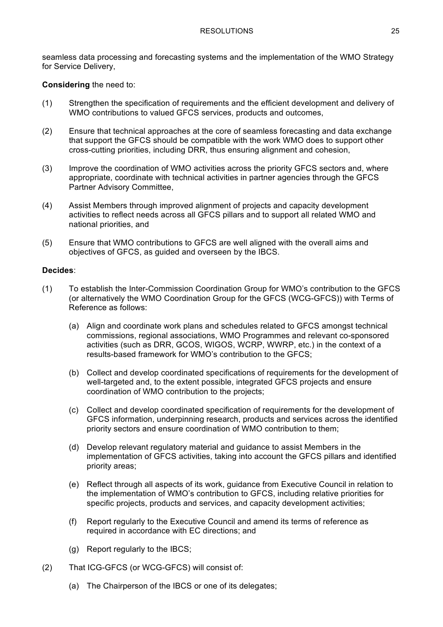seamless data processing and forecasting systems and the implementation of the WMO Strategy for Service Delivery,

### **Considering** the need to:

- (1) Strengthen the specification of requirements and the efficient development and delivery of WMO contributions to valued GFCS services, products and outcomes,
- (2) Ensure that technical approaches at the core of seamless forecasting and data exchange that support the GFCS should be compatible with the work WMO does to support other cross-cutting priorities, including DRR, thus ensuring alignment and cohesion,
- (3) Improve the coordination of WMO activities across the priority GFCS sectors and, where appropriate, coordinate with technical activities in partner agencies through the GFCS Partner Advisory Committee,
- (4) Assist Members through improved alignment of projects and capacity development activities to reflect needs across all GFCS pillars and to support all related WMO and national priorities, and
- (5) Ensure that WMO contributions to GFCS are well aligned with the overall aims and objectives of GFCS, as guided and overseen by the IBCS.

### **Decides**:

- (1) To establish the Inter-Commission Coordination Group for WMO's contribution to the GFCS (or alternatively the WMO Coordination Group for the GFCS (WCG-GFCS)) with Terms of Reference as follows:
	- (a) Align and coordinate work plans and schedules related to GFCS amongst technical commissions, regional associations, WMO Programmes and relevant co-sponsored activities (such as DRR, GCOS, WIGOS, WCRP, WWRP, etc.) in the context of a results-based framework for WMO's contribution to the GFCS;
	- (b) Collect and develop coordinated specifications of requirements for the development of well-targeted and, to the extent possible, integrated GFCS projects and ensure coordination of WMO contribution to the projects;
	- (c) Collect and develop coordinated specification of requirements for the development of GFCS information, underpinning research, products and services across the identified priority sectors and ensure coordination of WMO contribution to them;
	- (d) Develop relevant regulatory material and guidance to assist Members in the implementation of GFCS activities, taking into account the GFCS pillars and identified priority areas;
	- (e) Reflect through all aspects of its work, guidance from Executive Council in relation to the implementation of WMO's contribution to GFCS, including relative priorities for specific projects, products and services, and capacity development activities;
	- (f) Report regularly to the Executive Council and amend its terms of reference as required in accordance with EC directions; and
	- (g) Report regularly to the IBCS;
- (2) That ICG-GFCS (or WCG-GFCS) will consist of:
	- (a) The Chairperson of the IBCS or one of its delegates;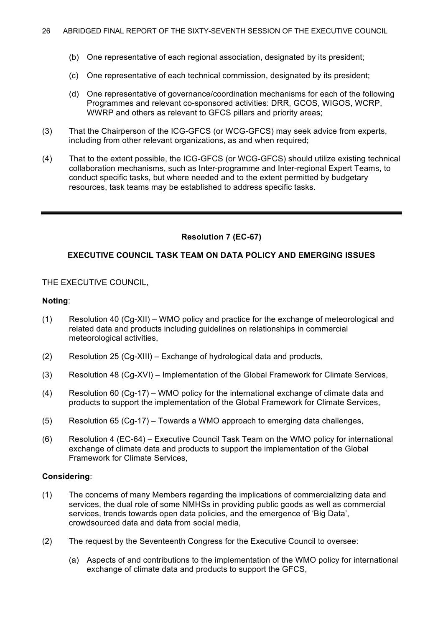- (b) One representative of each regional association, designated by its president;
- (c) One representative of each technical commission, designated by its president;
- (d) One representative of governance/coordination mechanisms for each of the following Programmes and relevant co-sponsored activities: DRR, GCOS, WIGOS, WCRP, WWRP and others as relevant to GFCS pillars and priority areas;
- (3) That the Chairperson of the ICG-GFCS (or WCG-GFCS) may seek advice from experts, including from other relevant organizations, as and when required;
- (4) That to the extent possible, the ICG-GFCS (or WCG-GFCS) should utilize existing technical collaboration mechanisms, such as Inter-programme and Inter-regional Expert Teams, to conduct specific tasks, but where needed and to the extent permitted by budgetary resources, task teams may be established to address specific tasks.

## **Resolution 7 (EC-67)**

### **EXECUTIVE COUNCIL TASK TEAM ON DATA POLICY AND EMERGING ISSUES**

## THE EXECUTIVE COUNCIL,

#### **Noting**:

- (1) Resolution 40 (Cg-XII) WMO policy and practice for the exchange of meteorological and related data and products including guidelines on relationships in commercial meteorological activities,
- (2) Resolution 25 (Cg-XIII) Exchange of hydrological data and products,
- (3) Resolution 48 (Cg-XVI) Implementation of the Global Framework for Climate Services,
- (4) Resolution 60 (Cg-17) WMO policy for the international exchange of climate data and products to support the implementation of the Global Framework for Climate Services,
- (5) Resolution 65 (Cg-17) Towards a WMO approach to emerging data challenges,
- (6) Resolution 4 (EC-64) Executive Council Task Team on the WMO policy for international exchange of climate data and products to support the implementation of the Global Framework for Climate Services,

### **Considering**:

- (1) The concerns of many Members regarding the implications of commercializing data and services, the dual role of some NMHSs in providing public goods as well as commercial services, trends towards open data policies, and the emergence of 'Big Data', crowdsourced data and data from social media,
- (2) The request by the Seventeenth Congress for the Executive Council to oversee:
	- (a) Aspects of and contributions to the implementation of the WMO policy for international exchange of climate data and products to support the GFCS,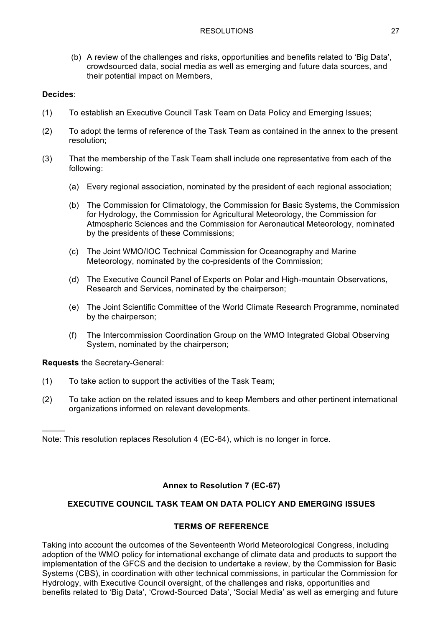(b) A review of the challenges and risks, opportunities and benefits related to 'Big Data', crowdsourced data, social media as well as emerging and future data sources, and their potential impact on Members,

# **Decides**:

- (1) To establish an Executive Council Task Team on Data Policy and Emerging Issues;
- (2) To adopt the terms of reference of the Task Team as contained in the annex to the present resolution;
- (3) That the membership of the Task Team shall include one representative from each of the following:
	- (a) Every regional association, nominated by the president of each regional association;
	- (b) The Commission for Climatology, the Commission for Basic Systems, the Commission for Hydrology, the Commission for Agricultural Meteorology, the Commission for Atmospheric Sciences and the Commission for Aeronautical Meteorology, nominated by the presidents of these Commissions;
	- (c) The Joint WMO/IOC Technical Commission for Oceanography and Marine Meteorology, nominated by the co-presidents of the Commission;
	- (d) The Executive Council Panel of Experts on Polar and High-mountain Observations, Research and Services, nominated by the chairperson;
	- (e) The Joint Scientific Committee of the World Climate Research Programme, nominated by the chairperson;
	- (f) The Intercommission Coordination Group on the WMO Integrated Global Observing System, nominated by the chairperson;

**Requests** the Secretary-General:

 $\mathcal{L}$ 

- (1) To take action to support the activities of the Task Team;
- (2) To take action on the related issues and to keep Members and other pertinent international organizations informed on relevant developments.

Note: This resolution replaces Resolution 4 (EC-64), which is no longer in force.

# **Annex to Resolution 7 (EC-67)**

# **EXECUTIVE COUNCIL TASK TEAM ON DATA POLICY AND EMERGING ISSUES**

# **TERMS OF REFERENCE**

Taking into account the outcomes of the Seventeenth World Meteorological Congress, including adoption of the WMO policy for international exchange of climate data and products to support the implementation of the GFCS and the decision to undertake a review, by the Commission for Basic Systems (CBS), in coordination with other technical commissions, in particular the Commission for Hydrology, with Executive Council oversight, of the challenges and risks, opportunities and benefits related to 'Big Data', 'Crowd-Sourced Data', 'Social Media' as well as emerging and future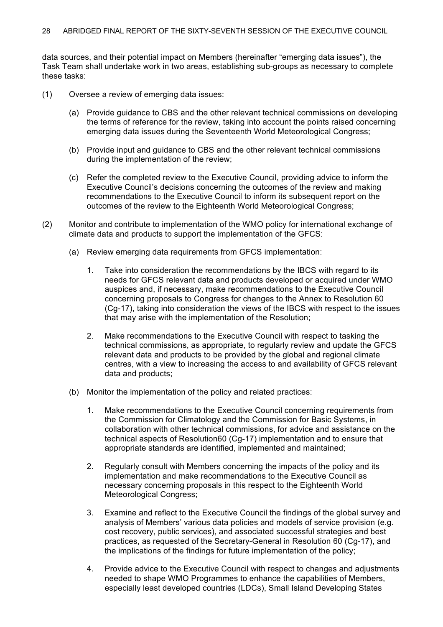data sources, and their potential impact on Members (hereinafter "emerging data issues"), the Task Team shall undertake work in two areas, establishing sub-groups as necessary to complete these tasks:

- (1) Oversee a review of emerging data issues:
	- (a) Provide guidance to CBS and the other relevant technical commissions on developing the terms of reference for the review, taking into account the points raised concerning emerging data issues during the Seventeenth World Meteorological Congress;
	- (b) Provide input and guidance to CBS and the other relevant technical commissions during the implementation of the review;
	- (c) Refer the completed review to the Executive Council, providing advice to inform the Executive Council's decisions concerning the outcomes of the review and making recommendations to the Executive Council to inform its subsequent report on the outcomes of the review to the Eighteenth World Meteorological Congress;
- (2) Monitor and contribute to implementation of the WMO policy for international exchange of climate data and products to support the implementation of the GFCS:
	- (a) Review emerging data requirements from GFCS implementation:
		- 1. Take into consideration the recommendations by the IBCS with regard to its needs for GFCS relevant data and products developed or acquired under WMO auspices and, if necessary, make recommendations to the Executive Council concerning proposals to Congress for changes to the Annex to Resolution 60 (Cg-17), taking into consideration the views of the IBCS with respect to the issues that may arise with the implementation of the Resolution;
		- 2. Make recommendations to the Executive Council with respect to tasking the technical commissions, as appropriate, to regularly review and update the GFCS relevant data and products to be provided by the global and regional climate centres, with a view to increasing the access to and availability of GFCS relevant data and products;
	- (b) Monitor the implementation of the policy and related practices:
		- 1. Make recommendations to the Executive Council concerning requirements from the Commission for Climatology and the Commission for Basic Systems, in collaboration with other technical commissions, for advice and assistance on the technical aspects of Resolution60 (Cg-17) implementation and to ensure that appropriate standards are identified, implemented and maintained;
		- 2. Regularly consult with Members concerning the impacts of the policy and its implementation and make recommendations to the Executive Council as necessary concerning proposals in this respect to the Eighteenth World Meteorological Congress;
		- 3. Examine and reflect to the Executive Council the findings of the global survey and analysis of Members' various data policies and models of service provision (e.g. cost recovery, public services), and associated successful strategies and best practices, as requested of the Secretary-General in Resolution 60 (Cg-17), and the implications of the findings for future implementation of the policy;
		- 4. Provide advice to the Executive Council with respect to changes and adjustments needed to shape WMO Programmes to enhance the capabilities of Members, especially least developed countries (LDCs), Small Island Developing States